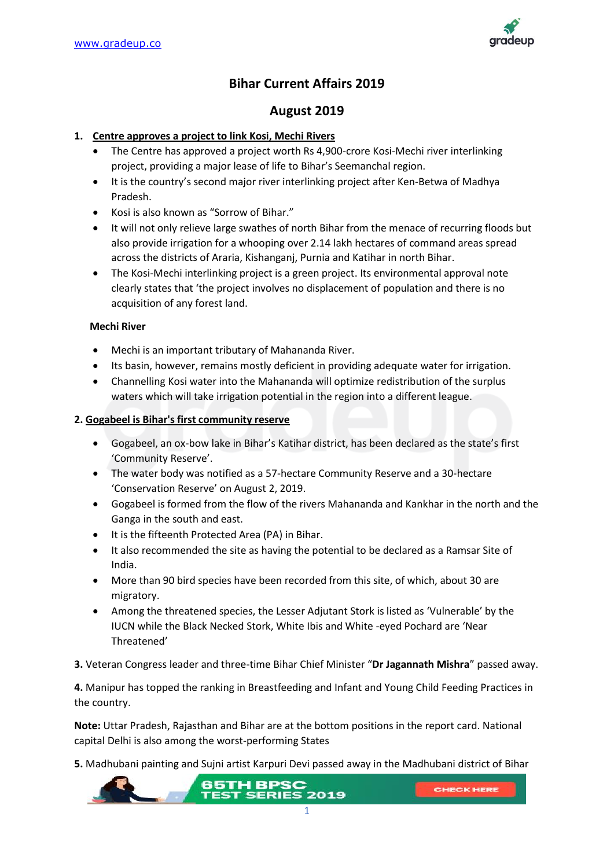

# **Bihar Current Affairs 2019**

# **August 2019**

## **1. Centre approves a project to link Kosi, Mechi Rivers**

- The Centre has approved a project worth Rs 4,900-crore Kosi-Mechi river interlinking project, providing a major lease of life to Bihar's Seemanchal region.
- It is the country's second major river interlinking project after Ken-Betwa of Madhya Pradesh.
- Kosi is also known as "Sorrow of Bihar."
- It will not only relieve large swathes of north Bihar from the menace of recurring floods but also provide irrigation for a whooping over 2.14 lakh hectares of command areas spread across the districts of Araria, Kishanganj, Purnia and Katihar in north Bihar.
- The Kosi-Mechi interlinking project is a green project. Its environmental approval note clearly states that 'the project involves no displacement of population and there is no acquisition of any forest land.

### **Mechi River**

- Mechi is an important tributary of Mahananda River.
- Its basin, however, remains mostly deficient in providing adequate water for irrigation.
- Channelling Kosi water into the Mahananda will optimize redistribution of the surplus waters which will take irrigation potential in the region into a different league.

### **2. Gogabeel is Bihar's first community reserve**

- Gogabeel, an ox-bow lake in Bihar's Katihar district, has been declared as the state's first 'Community Reserve'.
- The water body was notified as a 57-hectare Community Reserve and a 30-hectare 'Conservation Reserve' on August 2, 2019.
- Gogabeel is formed from the flow of the rivers Mahananda and Kankhar in the north and the Ganga in the south and east.
- It is the fifteenth Protected Area (PA) in Bihar.
- It also recommended the site as having the potential to be declared as a Ramsar Site of India.
- More than 90 bird species have been recorded from this site, of which, about 30 are migratory.
- Among the threatened species, the Lesser Adjutant Stork is listed as 'Vulnerable' by the IUCN while the Black Necked Stork, White Ibis and White -eyed Pochard are 'Near Threatened'
- **3.** Veteran Congress leader and three-time Bihar Chief Minister "**Dr Jagannath Mishra**" passed away.

**4.** Manipur has topped the ranking in Breastfeeding and Infant and Young Child Feeding Practices in the country.

**Note:** Uttar Pradesh, Rajasthan and Bihar are at the bottom positions in the report card. National capital Delhi is also among the worst-performing States

**5.** Madhubani painting and Sujni artist Karpuri Devi passed away in the Madhubani district of Bihar